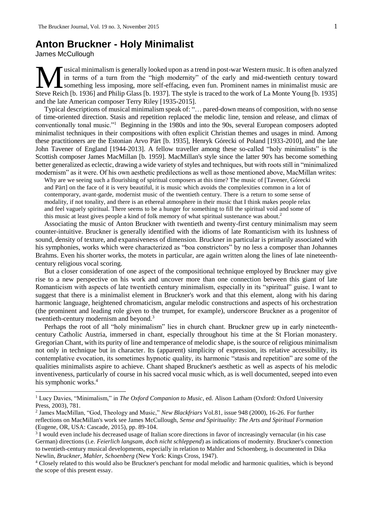## **Anton Bruckner - Holy Minimalist**

James McCullough

1

usical minimalism is generally looked upon as a trend in post-war Western music. It is often analyzed in terms of a turn from the "high modernity" of the early and mid-twentieth century toward something less imposing, more self-effacing, even fun. Prominent names in minimalist music are Steve Reich [b. 1936] and Philip Glass [b. 1937]. The style is traced to the work of La Monte Young [b. 1935] and the late American composer Terry Riley [1935-2015].

Typical descriptions of musical minimalism speak of: "… pared-down means of composition, with no sense of time-oriented direction. Stasis and repetition replaced the melodic line, tension and release, and climax of conventionally tonal music."<sup>1</sup> Beginning in the 1980s and into the 90s, several European composers adopted minimalist techniques in their compositions with often explicit Christian themes and usages in mind. Among these practitioners are the Estonian Arvo Pärt [b. 1935], Henryk Górecki of Poland [1933-2010], and the late John Tavener of England [1944-2013]. A fellow traveller among these so-called "holy minimalists" is the Scottish composer James MacMillan [b. 1959]. MacMillan's style since the latter 90's has become something better generalized as eclectic, drawing a wide variety of styles and techniques, but with roots still in "minimalized modernism" as it were. Of his own aesthetic predilections as well as those mentioned above, MacMillan writes:

Why are we seeing such a flourishing of spiritual composers at this time? The music of [Tavener, Górecki and Pärt] on the face of it is very beautiful, it is music which avoids the complexities common in a lot of contemporary, avant-garde, modernist music of the twentieth century. There is a return to some sense of modality, if not tonality, and there is an ethereal atmosphere in their music that I think makes people relax and feel vaguely spiritual. There seems to be a hunger for something to fill the spiritual void and some of this music at least gives people a kind of folk memory of what spiritual sustenance was about.<sup>2</sup>

Associating the music of Anton Bruckner with twentieth and twenty-first century minimalism may seem counter-intuitive. Bruckner is generally identified with the idioms of late Romanticism with its lushness of sound, density of texture, and expansiveness of dimension. Bruckner in particular is primarily associated with his symphonies, works which were characterized as "boa constrictors" by no less a composer than Johannes Brahms. Even his shorter works, the motets in particular, are again written along the lines of late nineteenthcentury religious vocal scoring.

But a closer consideration of one aspect of the compositional technique employed by Bruckner may give rise to a new perspective on his work and uncover more than one connection between this giant of late Romanticism with aspects of late twentieth century minimalism, especially in its "spiritual" guise. I want to suggest that there is a minimalist element in Bruckner's work and that this element, along with his daring harmonic language, heightened chromaticism, angular melodic constructions and aspects of his orchestration (the prominent and leading role given to the trumpet, for example), underscore Bruckner as a progenitor of twentieth-century modernism and beyond.<sup>3</sup>

Perhaps the root of all "holy minimalism" lies in church chant. Bruckner grew up in early nineteenthcentury Catholic Austria, immersed in chant, especially throughout his time at the St Florian monastery. Gregorian Chant, with its purity of line and temperance of melodic shape, is the source of religious minimalism not only in technique but in character. Its (apparent) simplicity of expression, its relative accessibility, its contemplative evocation, its sometimes hypnotic quality, its harmonic "stasis and repetition" are some of the qualities minimalists aspire to achieve. Chant shaped Bruckner's aesthetic as well as aspects of his melodic inventiveness, particularly of course in his sacred vocal music which, as is well documented, seeped into even his symphonic works.<sup>4</sup>

<sup>1</sup> Lucy Davies, "Minimalism," in *The Oxford Companion to Music*, ed. Alison Latham (Oxford: Oxford University Press, 2003), 781.

<sup>2</sup> James MacMillan, "God, Theology and Music," *New Blackfriars* Vol.81, issue 948 (2000), 16-26. For further reflections on MacMillan's work see James McCullough, *Sense and Spirituality: The Arts and Spiritual Formation* (Eugene, OR, USA: Cascade, 2015), pp. 89-104.

<sup>3</sup> I would even include his decreased usage of Italian score directions in favor of increasingly vernacular (in his case German) directions (i.e. *Feierlich langsam, doch nicht schleppend*) as indications of modernity. Bruckner's connection to twentieth-century musical developments, especially in relation to Mahler and Schoenberg, is documented in Dika Newlin, *Bruckner, Mahler, Schoenberg* (New York: Kings Cross, 1947).

<sup>4</sup> Closely related to this would also be Bruckner's penchant for modal melodic and harmonic qualities, which is beyond the scope of this present essay.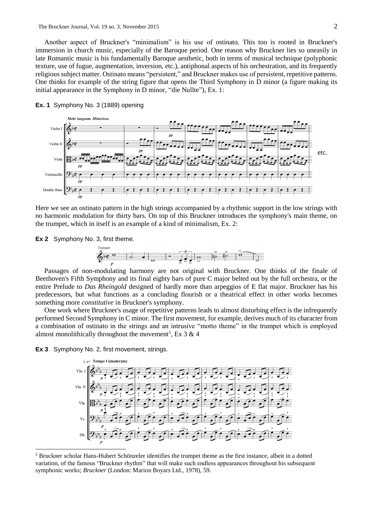Another aspect of Bruckner's "minimalism" is his use of ostinato. This too is rooted in Bruckner's immersion in church music, especially of the Baroque period. One reason why Bruckner lies so uneasily in late Romantic music is his fundamentally Baroque aesthetic, both in terms of musical technique (polyphonic texture, use of fugue, augmentation, inversion, etc.), antiphonal aspects of his orchestration, and its frequently religious subject matter. Ostinato means "persistent," and Bruckner makes use of persistent, repetitive patterns. One thinks for example of the string figure that opens the Third Symphony in D minor (a figure making its initial appearance in the Symphony in D minor, "die Nullte"), Ex. 1:



## **Ex. 1** Symphony No. 3 (1889) opening

Here we see an ostinato pattern in the high strings accompanied by a rhythmic support in the low strings with no harmonic modulation for thirty bars. On top of this Bruckner introduces the symphony's main theme, on the trumpet, which in itself is an example of a kind of minimalism, Ex. 2:

## **Ex 2** Symphony No. 3, first theme.



Passages of non-modulating harmony are not original with Bruckner. One thinks of the finale of Beethoven's Fifth Symphony and its final eighty bars of pure C major belted out by the full orchestra, or the entire Prelude to *Das Rheingold* designed of hardly more than arpeggios of E flat major. Bruckner has his predecessors, but what functions as a concluding flourish or a theatrical effect in other works becomes something more *constitutive* in Bruckner's symphony.

One work where Bruckner's usage of repetitive patterns leads to almost disturbing effect is the infrequently performed Second Symphony in C minor. The first movement, for example, derives much of its character from a combination of ostinato in the strings and an intrusive "motto theme" in the trumpet which is employed almost monolithically throughout the movement<sup>5</sup>, Ex 3 & 4

**Ex 3** Symphony No. 2, first movement, strings.

1



<sup>5</sup> Bruckner scholar Hans-Hubert Schönzeler identifies the trumpet theme as the first instance, albeit in a dotted variation, of the famous "Bruckner rhythm" that will make such endless appearances throughout his subsequent symphonic works; *Bruckner* (London: Marion Boyars Ltd., 1978), 59.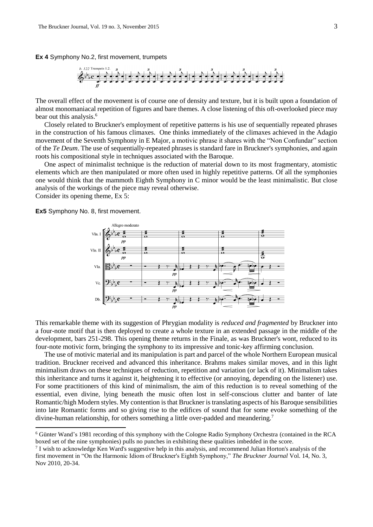**Ex 4** Symphony No.2, first movement, trumpets



The overall effect of the movement is of course one of density and texture, but it is built upon a foundation of almost monomaniacal repetition of figures and bare themes. A close listening of this oft-overlooked piece may bear out this analysis.<sup>6</sup>

Closely related to Bruckner's employment of repetitive patterns is his use of sequentially repeated phrases in the construction of his famous climaxes. One thinks immediately of the climaxes achieved in the Adagio movement of the Seventh Symphony in E Major, a motivic phrase it shares with the "Non Confundar" section of the *Te Deum*. The use of sequentially-repeated phrases is standard fare in Bruckner's symphonies, and again roots his compositional style in techniques associated with the Baroque.

One aspect of minimalist technique is the reduction of material down to its most fragmentary, atomistic elements which are then manipulated or more often used in highly repetitive patterns. Of all the symphonies one would think that the mammoth Eighth Symphony in C minor would be the least minimalistic. But close analysis of the workings of the piece may reveal otherwise.

Consider its opening theme, Ex 5:

1

**Ex5** Symphony No. 8, first movement.



This remarkable theme with its suggestion of Phrygian modality is *reduced and fragmented* by Bruckner into a four-note motif that is then deployed to create a whole texture in an extended passage in the middle of the development, bars 251-298. This opening theme returns in the Finale, as was Bruckner's wont, reduced to its four-note motivic form, bringing the symphony to its impressive and tonic-key affirming conclusion.

The use of motivic material and its manipulation is part and parcel of the whole Northern European musical tradition. Bruckner received and advanced this inheritance. Brahms makes similar moves, and in this light minimalism draws on these techniques of reduction, repetition and variation (or lack of it). Minimalism takes this inheritance and turns it against it, heightening it to effective (or annoying, depending on the listener) use. For some practitioners of this kind of minimalism, the aim of this reduction is to reveal something of the essential, even divine, lying beneath the music often lost in self-conscious clutter and banter of late Romantic/high Modern styles. My contention is that Bruckner is translating aspects of his Baroque sensibilities into late Romantic forms and so giving rise to the edifices of sound that for some evoke something of the divine-human relationship, for others something a little over-padded and meandering.<sup>7</sup>

<sup>6</sup> Günter Wand's 1981 recording of this symphony with the Cologne Radio Symphony Orchestra (contained in the RCA boxed set of the nine symphonies) pulls no punches in exhibiting these qualities imbedded in the score.

<sup>&</sup>lt;sup>7</sup> I wish to acknowledge Ken Ward's suggestive help in this analysis, and recommend Julian Horton's analysis of the first movement in "On the Harmonic Idiom of Bruckner's Eighth Symphony," *The Bruckner Journal* Vol. 14, No. 3, Nov 2010, 20-34.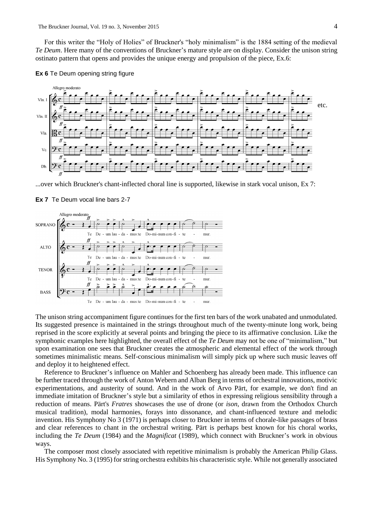For this writer the "Holy of Holies" of Bruckner's "holy minimalism" is the 1884 setting of the medieval *Te Deum*. Here many of the conventions of Bruckner's mature style are on display. Consider the unison string ostinato pattern that opens and provides the unique energy and propulsion of the piece, Ex.6:

## **Ex 6** Te Deum opening string figure



...over which Bruckner's chant-inflected choral line is supported, likewise in stark vocal unison, Ex 7:





The unison string accompaniment figure continues for the first ten bars of the work unabated and unmodulated. Its suggested presence is maintained in the strings throughout much of the twenty-minute long work, being reprised in the score explicitly at several points and bringing the piece to its affirmative conclusion. Like the symphonic examples here highlighted, the overall effect of the *Te Deum* may not be one of "minimalism," but upon examination one sees that Bruckner creates the atmospheric and elemental effect of the work through sometimes minimalistic means. Self-conscious minimalism will simply pick up where such music leaves off and deploy it to heightened effect.

Reference to Bruckner's influence on Mahler and Schoenberg has already been made. This influence can be further traced through the work of Anton Webern and Alban Berg in terms of orchestral innovations, motivic experimentations, and austerity of sound. And in the work of Arvo Pärt, for example, we don't find an immediate imitation of Bruckner's style but a similarity of ethos in expressing religious sensibility through a reduction of means. Pärt's *Fratres* showcases the use of drone (or *ison*, drawn from the Orthodox Church musical tradition), modal harmonies, forays into dissonance, and chant-influenced texture and melodic invention. His Symphony No 3 (1971) is perhaps closer to Bruckner in terms of chorale-like passages of brass and clear references to chant in the orchestral writing. Pärt is perhaps best known for his choral works, including the *Te Deum* (1984) and the *Magnificat* (1989), which connect with Bruckner's work in obvious ways.

The composer most closely associated with repetitive minimalism is probably the American Philip Glass. His Symphony No. 3 (1995) for string orchestra exhibits his characteristic style. While not generally associated